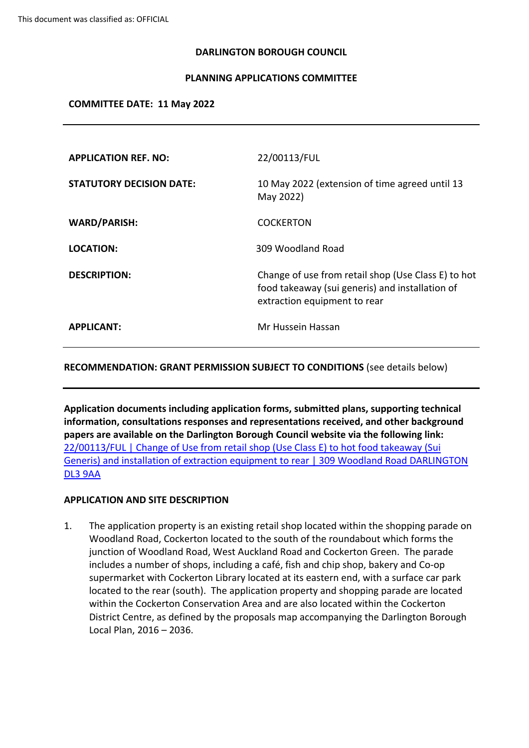#### **DARLINGTON BOROUGH COUNCIL**

#### **PLANNING APPLICATIONS COMMITTEE**

#### **COMMITTEE DATE: 11 May 2022**

| <b>APPLICATION REF. NO:</b>     | 22/00113/FUL                                                                                                                           |
|---------------------------------|----------------------------------------------------------------------------------------------------------------------------------------|
| <b>STATUTORY DECISION DATE:</b> | 10 May 2022 (extension of time agreed until 13<br>May 2022)                                                                            |
| <b>WARD/PARISH:</b>             | <b>COCKERTON</b>                                                                                                                       |
| <b>LOCATION:</b>                | 309 Woodland Road                                                                                                                      |
| <b>DESCRIPTION:</b>             | Change of use from retail shop (Use Class E) to hot<br>food takeaway (sui generis) and installation of<br>extraction equipment to rear |
| <b>APPLICANT:</b>               | Mr Hussein Hassan                                                                                                                      |

#### **RECOMMENDATION: GRANT PERMISSION SUBJECT TO CONDITIONS** (see details below)

**Application documents including application forms, submitted plans, supporting technical information, consultations responses and representations received, and other background papers are available on the Darlington Borough Council website via the following link:**  [22/00113/FUL](https://publicaccess.darlington.gov.uk/online-applications/applicationDetails.do?activeTab=documents&keyVal=R6XEQCFP0C800) | Change of Use from retail shop (Use Class E) to hot food takeaway (Sui Generis) and installation of extraction equipment to rear | 309 Woodland Road [DARLINGTON](https://publicaccess.darlington.gov.uk/online-applications/applicationDetails.do?activeTab=documents&keyVal=R6XEQCFP0C800) DL3 [9AA](https://publicaccess.darlington.gov.uk/online-applications/applicationDetails.do?activeTab=documents&keyVal=R6XEQCFP0C800)

## **APPLICATION AND SITE DESCRIPTION**

1. The application property is an existing retail shop located within the shopping parade on Woodland Road, Cockerton located to the south of the roundabout which forms the junction of Woodland Road, West Auckland Road and Cockerton Green. The parade includes a number of shops, including a café, fish and chip shop, bakery and Co-op supermarket with Cockerton Library located at its eastern end, with a surface car park located to the rear (south). The application property and shopping parade are located within the Cockerton Conservation Area and are also located within the Cockerton District Centre, as defined by the proposals map accompanying the Darlington Borough Local Plan, 2016 – 2036.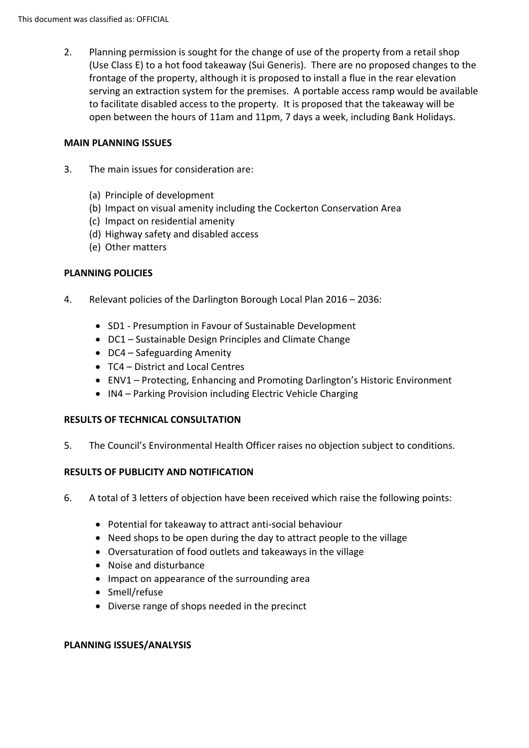2. Planning permission is sought for the change of use of the property from a retail shop (Use Class E) to a hot food takeaway (Sui Generis). There are no proposed changes to the frontage of the property, although it is proposed to install a flue in the rear elevation serving an extraction system for the premises. A portable access ramp would be available to facilitate disabled access to the property. It is proposed that the takeaway will be open between the hours of 11am and 11pm, 7 days a week, including Bank Holidays.

## **MAIN PLANNING ISSUES**

- 3. The main issues for consideration are:
	- (a) Principle of development
	- (b) Impact on visual amenity including the Cockerton Conservation Area
	- (c) Impact on residential amenity
	- (d) Highway safety and disabled access
	- (e) Other matters

## **PLANNING POLICIES**

- 4. Relevant policies of the Darlington Borough Local Plan 2016 2036:
	- SD1 Presumption in Favour of Sustainable Development
	- DC1 Sustainable Design Principles and Climate Change
	- DC4 Safeguarding Amenity
	- TC4 District and Local Centres
	- ENV1 Protecting, Enhancing and Promoting Darlington's Historic Environment
	- IN4 Parking Provision including Electric Vehicle Charging

## **RESULTS OF TECHNICAL CONSULTATION**

5. The Council's Environmental Health Officer raises no objection subject to conditions.

## **RESULTS OF PUBLICITY AND NOTIFICATION**

- 6. A total of 3 letters of objection have been received which raise the following points:
	- Potential for takeaway to attract anti-social behaviour
	- Need shops to be open during the day to attract people to the village
	- Oversaturation of food outlets and takeaways in the village
	- Noise and disturbance
	- Impact on appearance of the surrounding area
	- Smell/refuse
	- Diverse range of shops needed in the precinct

## **PLANNING ISSUES/ANALYSIS**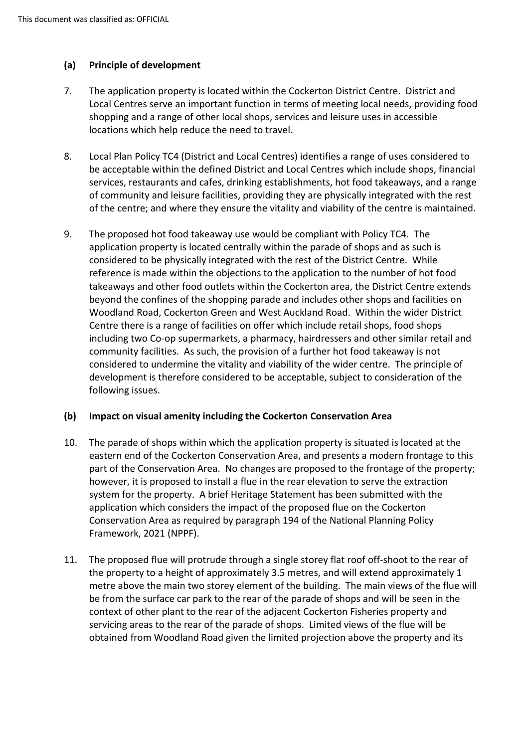# **(a) Principle of development**

- 7. The application property is located within the Cockerton District Centre. District and Local Centres serve an important function in terms of meeting local needs, providing food shopping and a range of other local shops, services and leisure uses in accessible locations which help reduce the need to travel.
- 8. Local Plan Policy TC4 (District and Local Centres) identifies a range of uses considered to be acceptable within the defined District and Local Centres which include shops, financial services, restaurants and cafes, drinking establishments, hot food takeaways, and a range of community and leisure facilities, providing they are physically integrated with the rest of the centre; and where they ensure the vitality and viability of the centre is maintained.
- 9. The proposed hot food takeaway use would be compliant with Policy TC4. The application property is located centrally within the parade of shops and as such is considered to be physically integrated with the rest of the District Centre. While reference is made within the objections to the application to the number of hot food takeaways and other food outlets within the Cockerton area, the District Centre extends beyond the confines of the shopping parade and includes other shops and facilities on Woodland Road, Cockerton Green and West Auckland Road. Within the wider District Centre there is a range of facilities on offer which include retail shops, food shops including two Co-op supermarkets, a pharmacy, hairdressers and other similar retail and community facilities. As such, the provision of a further hot food takeaway is not considered to undermine the vitality and viability of the wider centre. The principle of development is therefore considered to be acceptable, subject to consideration of the following issues.

## **(b) Impact on visual amenity including the Cockerton Conservation Area**

- 10. The parade of shops within which the application property is situated is located at the eastern end of the Cockerton Conservation Area, and presents a modern frontage to this part of the Conservation Area. No changes are proposed to the frontage of the property; however, it is proposed to install a flue in the rear elevation to serve the extraction system for the property. A brief Heritage Statement has been submitted with the application which considers the impact of the proposed flue on the Cockerton Conservation Area as required by paragraph 194 of the National Planning Policy Framework, 2021 (NPPF).
- 11. The proposed flue will protrude through a single storey flat roof off-shoot to the rear of the property to a height of approximately 3.5 metres, and will extend approximately 1 metre above the main two storey element of the building. The main views of the flue will be from the surface car park to the rear of the parade of shops and will be seen in the context of other plant to the rear of the adjacent Cockerton Fisheries property and servicing areas to the rear of the parade of shops. Limited views of the flue will be obtained from Woodland Road given the limited projection above the property and its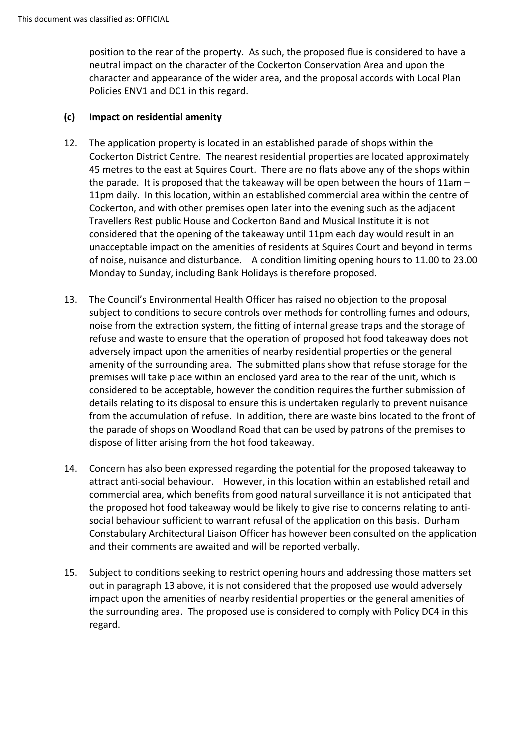position to the rear of the property. As such, the proposed flue is considered to have a neutral impact on the character of the Cockerton Conservation Area and upon the character and appearance of the wider area, and the proposal accords with Local Plan Policies ENV1 and DC1 in this regard.

## **(c) Impact on residential amenity**

- 12. The application property is located in an established parade of shops within the Cockerton District Centre. The nearest residential properties are located approximately 45 metres to the east at Squires Court. There are no flats above any of the shops within the parade. It is proposed that the takeaway will be open between the hours of 11am – 11pm daily. In this location, within an established commercial area within the centre of Cockerton, and with other premises open later into the evening such as the adjacent Travellers Rest public House and Cockerton Band and Musical Institute it is not considered that the opening of the takeaway until 11pm each day would result in an unacceptable impact on the amenities of residents at Squires Court and beyond in terms of noise, nuisance and disturbance. A condition limiting opening hours to 11.00 to 23.00 Monday to Sunday, including Bank Holidays is therefore proposed.
- 13. The Council's Environmental Health Officer has raised no objection to the proposal subject to conditions to secure controls over methods for controlling fumes and odours, noise from the extraction system, the fitting of internal grease traps and the storage of refuse and waste to ensure that the operation of proposed hot food takeaway does not adversely impact upon the amenities of nearby residential properties or the general amenity of the surrounding area. The submitted plans show that refuse storage for the premises will take place within an enclosed yard area to the rear of the unit, which is considered to be acceptable, however the condition requires the further submission of details relating to its disposal to ensure this is undertaken regularly to prevent nuisance from the accumulation of refuse. In addition, there are waste bins located to the front of the parade of shops on Woodland Road that can be used by patrons of the premises to dispose of litter arising from the hot food takeaway.
- 14. Concern has also been expressed regarding the potential for the proposed takeaway to attract anti-social behaviour. However, in this location within an established retail and commercial area, which benefits from good natural surveillance it is not anticipated that the proposed hot food takeaway would be likely to give rise to concerns relating to antisocial behaviour sufficient to warrant refusal of the application on this basis. Durham Constabulary Architectural Liaison Officer has however been consulted on the application and their comments are awaited and will be reported verbally.
- 15. Subject to conditions seeking to restrict opening hours and addressing those matters set out in paragraph 13 above, it is not considered that the proposed use would adversely impact upon the amenities of nearby residential properties or the general amenities of the surrounding area. The proposed use is considered to comply with Policy DC4 in this regard.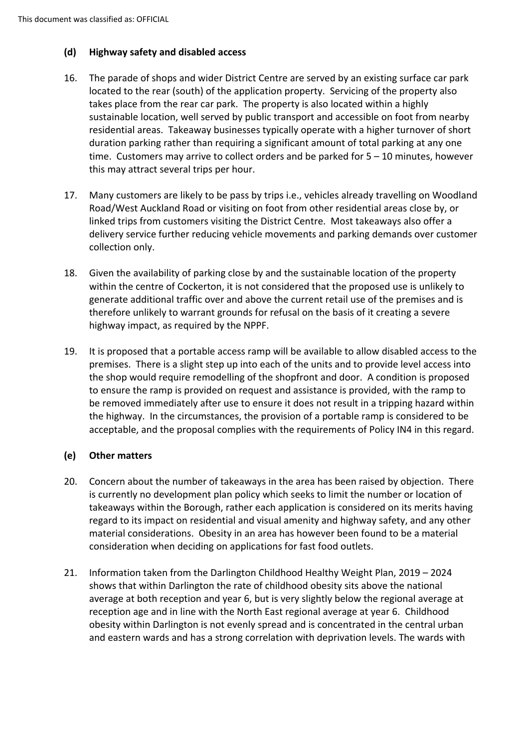# **(d) Highway safety and disabled access**

- 16. The parade of shops and wider District Centre are served by an existing surface car park located to the rear (south) of the application property. Servicing of the property also takes place from the rear car park. The property is also located within a highly sustainable location, well served by public transport and accessible on foot from nearby residential areas. Takeaway businesses typically operate with a higher turnover of short duration parking rather than requiring a significant amount of total parking at any one time. Customers may arrive to collect orders and be parked for 5 – 10 minutes, however this may attract several trips per hour.
- 17. Many customers are likely to be pass by trips i.e., vehicles already travelling on Woodland Road/West Auckland Road or visiting on foot from other residential areas close by, or linked trips from customers visiting the District Centre. Most takeaways also offer a delivery service further reducing vehicle movements and parking demands over customer collection only.
- 18. Given the availability of parking close by and the sustainable location of the property within the centre of Cockerton, it is not considered that the proposed use is unlikely to generate additional traffic over and above the current retail use of the premises and is therefore unlikely to warrant grounds for refusal on the basis of it creating a severe highway impact, as required by the NPPF.
- 19. It is proposed that a portable access ramp will be available to allow disabled access to the premises. There is a slight step up into each of the units and to provide level access into the shop would require remodelling of the shopfront and door. A condition is proposed to ensure the ramp is provided on request and assistance is provided, with the ramp to be removed immediately after use to ensure it does not result in a tripping hazard within the highway. In the circumstances, the provision of a portable ramp is considered to be acceptable, and the proposal complies with the requirements of Policy IN4 in this regard.

# **(e) Other matters**

- 20. Concern about the number of takeaways in the area has been raised by objection. There is currently no development plan policy which seeks to limit the number or location of takeaways within the Borough, rather each application is considered on its merits having regard to its impact on residential and visual amenity and highway safety, and any other material considerations. Obesity in an area has however been found to be a material consideration when deciding on applications for fast food outlets.
- 21. Information taken from the Darlington Childhood Healthy Weight Plan, 2019 2024 shows that within Darlington the rate of childhood obesity sits above the national average at both reception and year 6, but is very slightly below the regional average at reception age and in line with the North East regional average at year 6. Childhood obesity within Darlington is not evenly spread and is concentrated in the central urban and eastern wards and has a strong correlation with deprivation levels. The wards with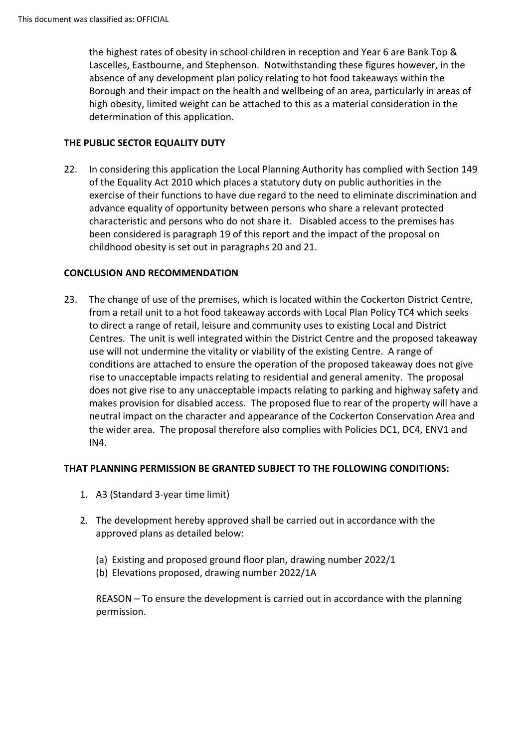the highest rates of obesity in school children in reception and Year 6 are Bank Top & Lascelles, Eastbourne, and Stephenson. Notwithstanding these figures however, in the absence of any development plan policy relating to hot food takeaways within the Borough and their impact on the health and wellbeing of an area, particularly in areas of high obesity, limited weight can be attached to this as a material consideration in the determination of this application.

# **THE PUBLIC SECTOR EQUALITY DUTY**

22. In considering this application the Local Planning Authority has complied with Section 149 of the Equality Act 2010 which places a statutory duty on public authorities in the exercise of their functions to have due regard to the need to eliminate discrimination and advance equality of opportunity between persons who share a relevant protected characteristic and persons who do not share it. Disabled access to the premises has been considered is paragraph 19 of this report and the impact of the proposal on childhood obesity is set out in paragraphs 20 and 21.

# **CONCLUSION AND RECOMMENDATION**

23. The change of use of the premises, which is located within the Cockerton District Centre, from a retail unit to a hot food takeaway accords with Local Plan Policy TC4 which seeks to direct a range of retail, leisure and community uses to existing Local and District Centres. The unit is well integrated within the District Centre and the proposed takeaway use will not undermine the vitality or viability of the existing Centre. A range of conditions are attached to ensure the operation of the proposed takeaway does not give rise to unacceptable impacts relating to residential and general amenity. The proposal does not give rise to any unacceptable impacts relating to parking and highway safety and makes provision for disabled access. The proposed flue to rear of the property will have a neutral impact on the character and appearance of the Cockerton Conservation Area and the wider area. The proposal therefore also complies with Policies DC1, DC4, ENV1 and IN4.

## **THAT PLANNING PERMISSION BE GRANTED SUBJECT TO THE FOLLOWING CONDITIONS:**

- 1. A3 (Standard 3-year time limit)
- 2. The development hereby approved shall be carried out in accordance with the approved plans as detailed below:
	- (a) Existing and proposed ground floor plan, drawing number 2022/1
	- (b) Elevations proposed, drawing number 2022/1A

REASON – To ensure the development is carried out in accordance with the planning permission.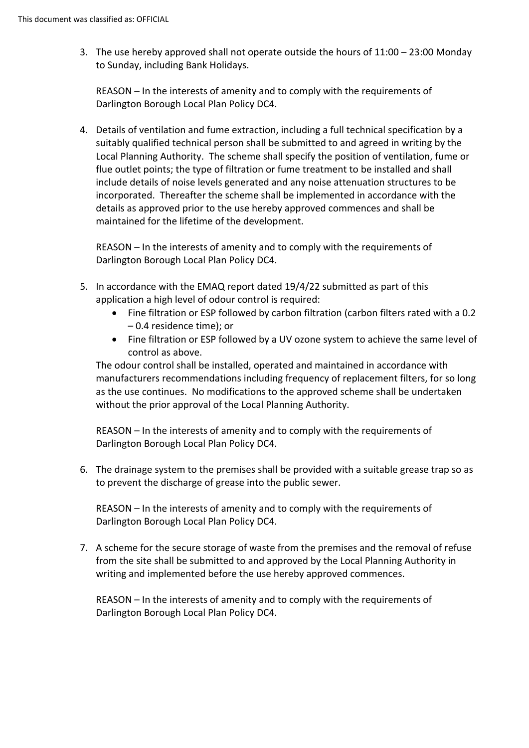3. The use hereby approved shall not operate outside the hours of  $11:00 - 23:00$  Monday to Sunday, including Bank Holidays.

REASON – In the interests of amenity and to comply with the requirements of Darlington Borough Local Plan Policy DC4.

4. Details of ventilation and fume extraction, including a full technical specification by a suitably qualified technical person shall be submitted to and agreed in writing by the Local Planning Authority. The scheme shall specify the position of ventilation, fume or flue outlet points; the type of filtration or fume treatment to be installed and shall include details of noise levels generated and any noise attenuation structures to be incorporated. Thereafter the scheme shall be implemented in accordance with the details as approved prior to the use hereby approved commences and shall be maintained for the lifetime of the development.

REASON – In the interests of amenity and to comply with the requirements of Darlington Borough Local Plan Policy DC4.

- 5. In accordance with the EMAQ report dated 19/4/22 submitted as part of this application a high level of odour control is required:
	- Fine filtration or ESP followed by carbon filtration (carbon filters rated with a 0.2 – 0.4 residence time); or
	- Fine filtration or ESP followed by a UV ozone system to achieve the same level of control as above.

The odour control shall be installed, operated and maintained in accordance with manufacturers recommendations including frequency of replacement filters, for so long as the use continues. No modifications to the approved scheme shall be undertaken without the prior approval of the Local Planning Authority.

REASON – In the interests of amenity and to comply with the requirements of Darlington Borough Local Plan Policy DC4.

6. The drainage system to the premises shall be provided with a suitable grease trap so as to prevent the discharge of grease into the public sewer.

REASON – In the interests of amenity and to comply with the requirements of Darlington Borough Local Plan Policy DC4.

7. A scheme for the secure storage of waste from the premises and the removal of refuse from the site shall be submitted to and approved by the Local Planning Authority in writing and implemented before the use hereby approved commences.

REASON – In the interests of amenity and to comply with the requirements of Darlington Borough Local Plan Policy DC4.